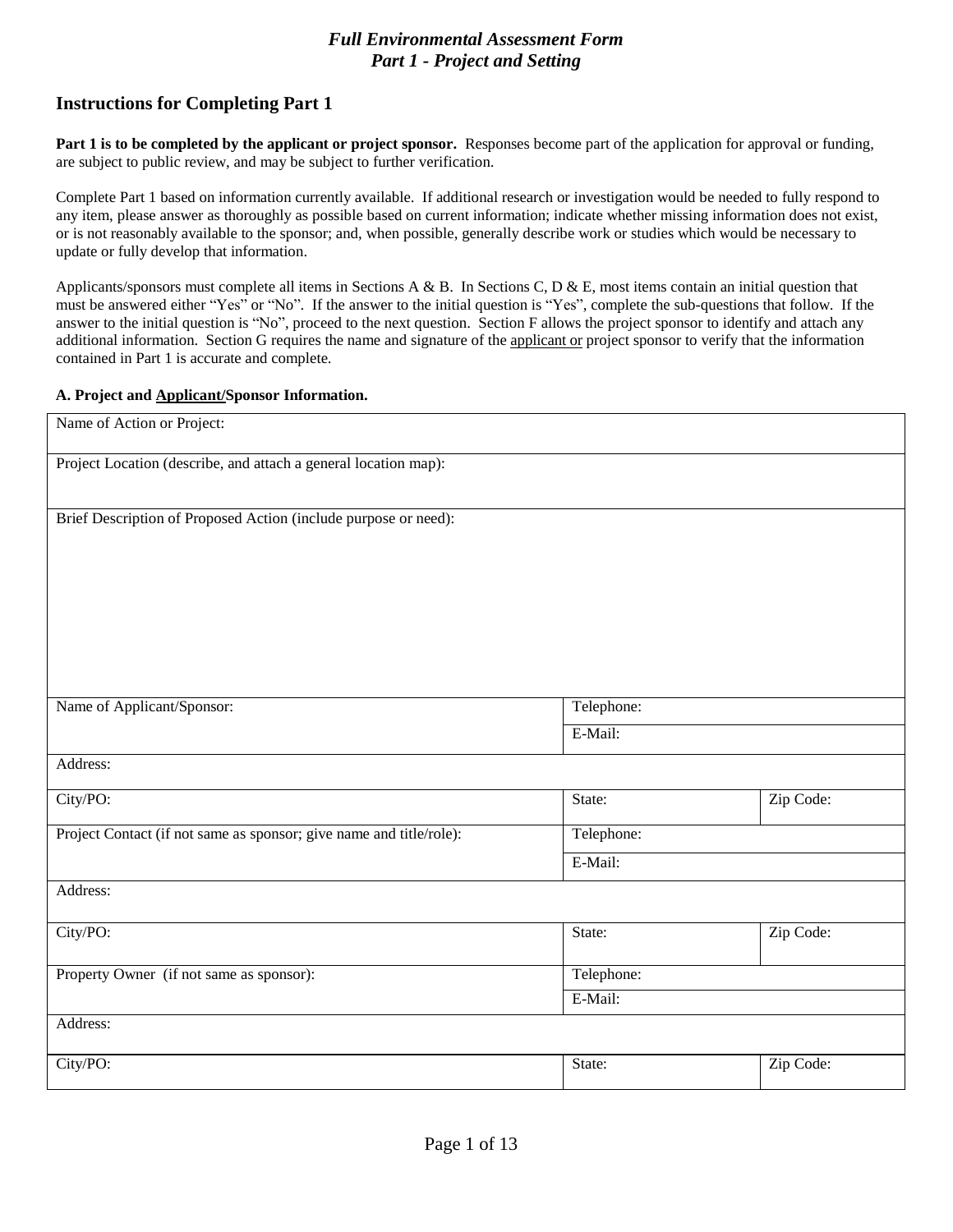## *Full Environmental Assessment Form Part 1 - Project and Setting*

# **Instructions for Completing Part 1**

**Part 1 is to be completed by the applicant or project sponsor.** Responses become part of the application for approval or funding, are subject to public review, and may be subject to further verification.

Complete Part 1 based on information currently available. If additional research or investigation would be needed to fully respond to any item, please answer as thoroughly as possible based on current information; indicate whether missing information does not exist, or is not reasonably available to the sponsor; and, when possible, generally describe work or studies which would be necessary to update or fully develop that information.

Applicants/sponsors must complete all items in Sections A & B. In Sections C, D & E, most items contain an initial question that must be answered either "Yes" or "No". If the answer to the initial question is "Yes", complete the sub-questions that follow. If the answer to the initial question is "No", proceed to the next question. Section F allows the project sponsor to identify and attach any additional information. Section G requires the name and signature of the applicant or project sponsor to verify that the information contained in Part 1 is accurate and complete.

#### **A. [Project and Applicant/Sponsor](http://www.dec.ny.gov/permits/91625.html) Information.**

| Name of Action or Project:                                          |            |           |
|---------------------------------------------------------------------|------------|-----------|
| Project Location (describe, and attach a general location map):     |            |           |
|                                                                     |            |           |
| Brief Description of Proposed Action (include purpose or need):     |            |           |
|                                                                     |            |           |
|                                                                     |            |           |
|                                                                     |            |           |
|                                                                     |            |           |
|                                                                     |            |           |
|                                                                     |            |           |
| Name of Applicant/Sponsor:                                          | Telephone: |           |
|                                                                     | E-Mail:    |           |
| Address:                                                            |            |           |
| City/PO:                                                            | State:     | Zip Code: |
| Project Contact (if not same as sponsor; give name and title/role): | Telephone: |           |
|                                                                     | E-Mail:    |           |
| Address:                                                            |            |           |
| City/PO:                                                            | State:     | Zip Code: |
|                                                                     |            |           |
| Property Owner (if not same as sponsor):                            | Telephone: |           |
|                                                                     | E-Mail:    |           |
| Address:                                                            |            |           |
| City/PO:                                                            | State:     | Zip Code: |
|                                                                     |            |           |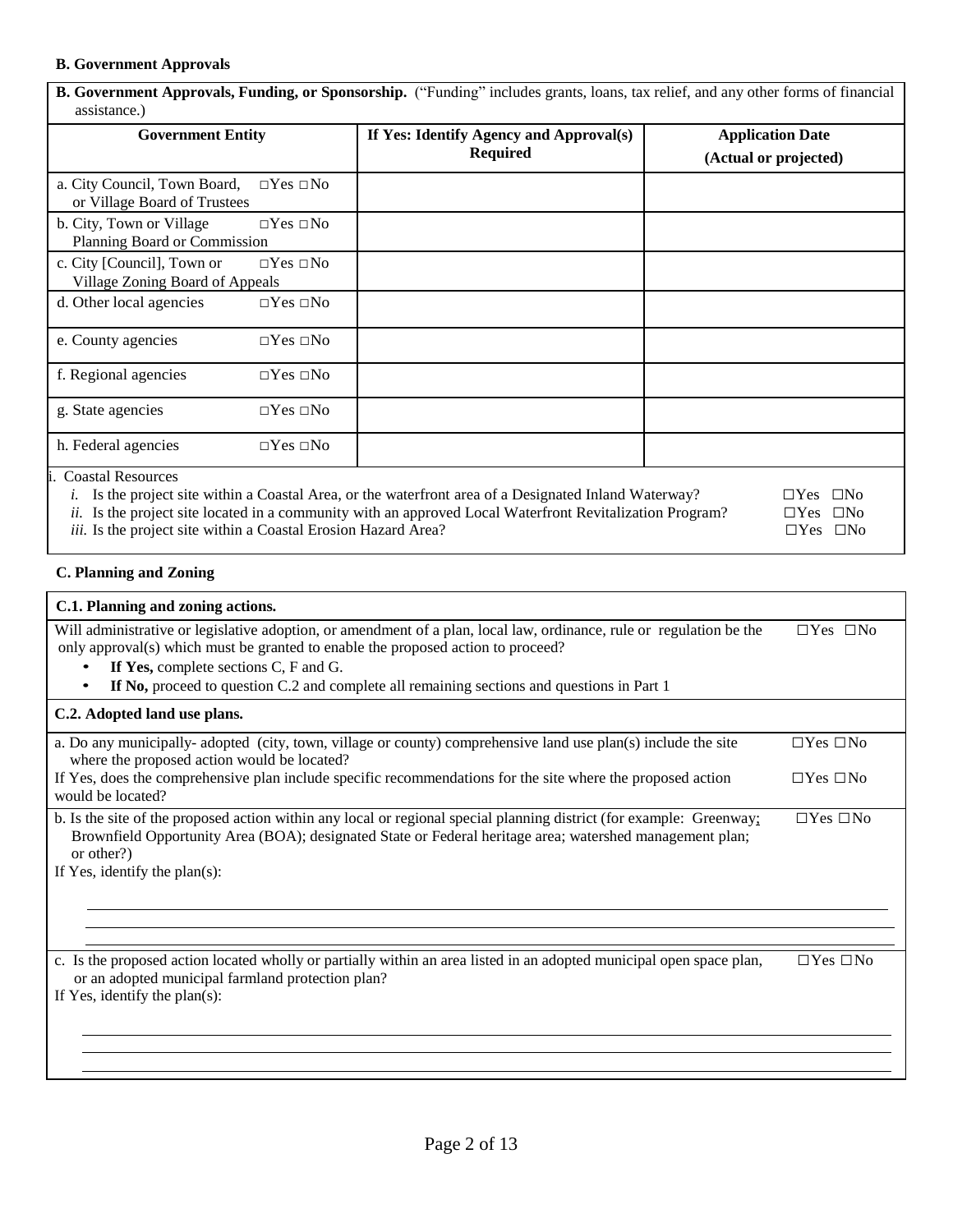#### **B. Government Approvals**

 $\mathbf{r}$ 

| <b>Government Entity</b>                                      |                      | If Yes: Identify Agency and Approval(s)<br><b>Required</b>                                                                                                                                                            | <b>Application Date</b><br>(Actual or projected)   |
|---------------------------------------------------------------|----------------------|-----------------------------------------------------------------------------------------------------------------------------------------------------------------------------------------------------------------------|----------------------------------------------------|
| a. City Council, Town Board,<br>or Village Board of Trustees  | $\Box$ Yes $\Box$ No |                                                                                                                                                                                                                       |                                                    |
| b. City, Town or Village<br>Planning Board or Commission      | $\Box$ Yes $\Box$ No |                                                                                                                                                                                                                       |                                                    |
| c. City [Council], Town or<br>Village Zoning Board of Appeals | $\Box$ Yes $\Box$ No |                                                                                                                                                                                                                       |                                                    |
| d. Other local agencies                                       | $\Box$ Yes $\Box$ No |                                                                                                                                                                                                                       |                                                    |
| e. County agencies                                            | $\Box$ Yes $\Box$ No |                                                                                                                                                                                                                       |                                                    |
| f. Regional agencies                                          | $\Box$ Yes $\Box$ No |                                                                                                                                                                                                                       |                                                    |
| g. State agencies                                             | $\Box$ Yes $\Box$ No |                                                                                                                                                                                                                       |                                                    |
| h. Federal agencies                                           | $\Box$ Yes $\Box$ No |                                                                                                                                                                                                                       |                                                    |
| <b>Coastal Resources</b>                                      |                      | Is the project site within a Coastal Area, or the waterfront area of a Designated Inland Waterway?<br><i>ii.</i> Is the project site located in a community with an approved Local Waterfront Revitalization Program? | $\square$ No<br>$\Box$ Yes<br>$\Box$ Yes $\Box$ No |

*iii.* Is the project site within a Coastal Erosion Hazard Area? □Yes □No

## **C. Planning and Zoning**

| C.1. Planning and zoning actions.                                                                                                                                                                                                                                                                                                                    |                      |
|------------------------------------------------------------------------------------------------------------------------------------------------------------------------------------------------------------------------------------------------------------------------------------------------------------------------------------------------------|----------------------|
| Will administrative or legislative adoption, or amendment of a plan, local law, ordinance, rule or regulation be the<br>only approval(s) which must be granted to enable the proposed action to proceed?<br>If Yes, complete sections C, F and G.<br>٠<br>If No, proceed to question C.2 and complete all remaining sections and questions in Part 1 | $\Box$ Yes $\Box$ No |
| C.2. Adopted land use plans.                                                                                                                                                                                                                                                                                                                         |                      |
| a. Do any municipally-adopted (city, town, village or county) comprehensive land use plan(s) include the site<br>where the proposed action would be located?                                                                                                                                                                                         | $\Box$ Yes $\Box$ No |
| If Yes, does the comprehensive plan include specific recommendations for the site where the proposed action<br>would be located?                                                                                                                                                                                                                     | $\Box$ Yes $\Box$ No |
| b. Is the site of the proposed action within any local or regional special planning district (for example: Greenway;<br>Brownfield Opportunity Area (BOA); designated State or Federal heritage area; watershed management plan;<br>or other?)<br>If Yes, identify the plan(s):                                                                      | $\Box$ Yes $\Box$ No |
|                                                                                                                                                                                                                                                                                                                                                      |                      |
| c. Is the proposed action located wholly or partially within an area listed in an adopted municipal open space plan,<br>or an adopted municipal farmland protection plan?<br>If Yes, identify the plan(s):                                                                                                                                           | $\Box$ Yes $\Box$ No |
|                                                                                                                                                                                                                                                                                                                                                      |                      |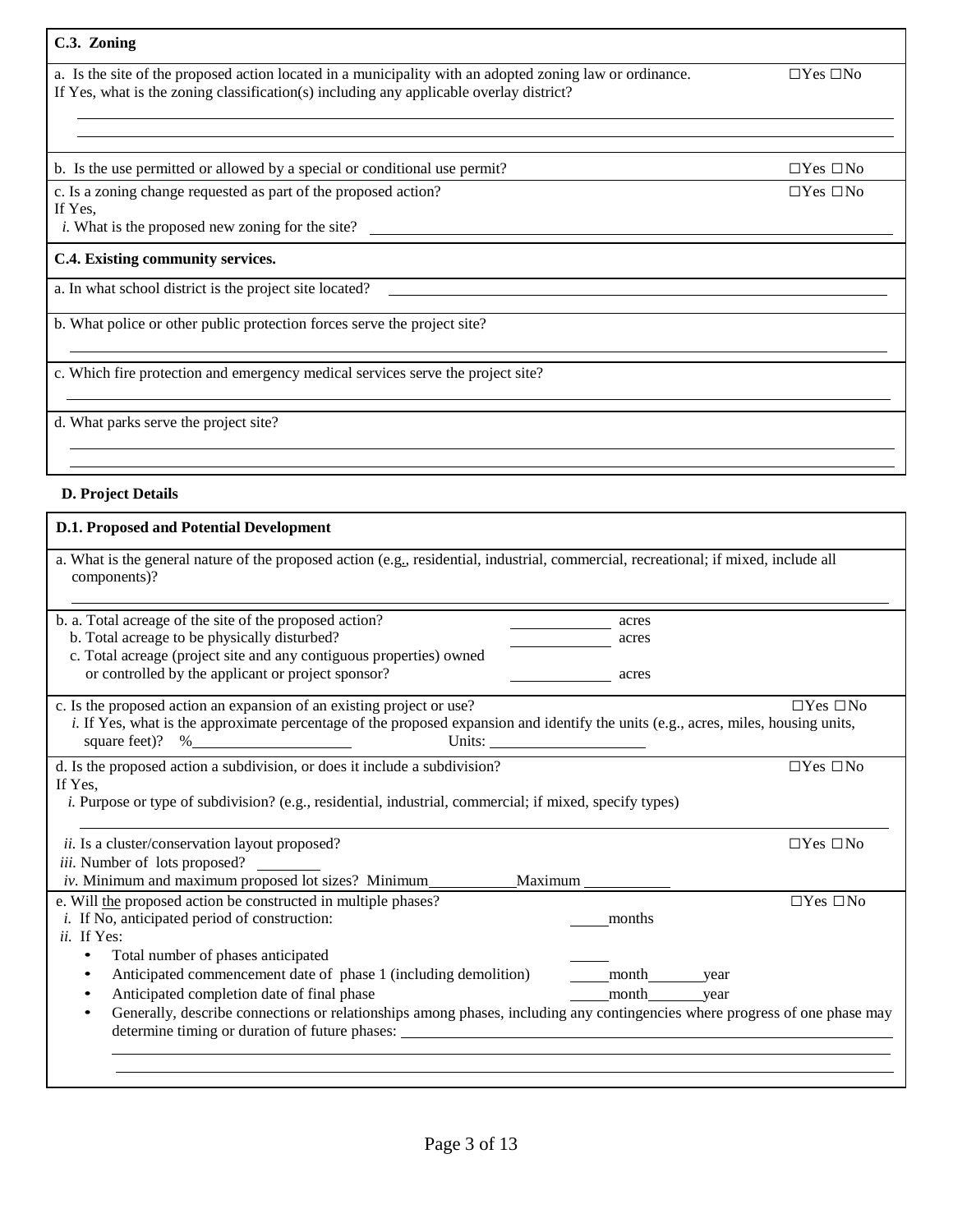## **C.3. [Zoning](http://www.dec.ny.gov/permits/91645.html)**

a. Is the site of the proposed action located in a municipality with an adopted zoning law or ordinance.  $\Box$  Yes  $\Box$  No If Yes, what is the zoning classification(s) including any applicable overlay district?

b. Is the use permitted or allowed by a special or conditional use permit?  $\square Y$ es  $\square$ No

c. Is a zoning change requested as part of the proposed action?  $\square$  Yes  $\square$  No

If Yes,

*i.* What is the proposed new zoning for the site?

#### **C.4. Existing [community services.](http://www.dec.ny.gov/permits/91650.html)**

a. In what school district is the project site located?

b. What police or other public protection forces serve the project site?

c. Which fire protection and emergency medical services serve the project site?

d. What parks serve the project site?

#### **D. Project Details**

#### **D.1. Proposed [and Potential](http://www.dec.ny.gov/permits/91655.html) Development**

| b. a. Total acreage of the site of the proposed action?<br>acres<br>b. Total acreage to be physically disturbed?<br>acres<br>c. Total acreage (project site and any contiguous properties) owned<br>or controlled by the applicant or project sponsor?<br>acres<br>c. Is the proposed action an expansion of an existing project or use?<br>$\Box$ Yes $\Box$ No<br>i. If Yes, what is the approximate percentage of the proposed expansion and identify the units (e.g., acres, miles, housing units,<br>square feet)? $%$<br>d. Is the proposed action a subdivision, or does it include a subdivision?<br>$\Box$ Yes $\Box$ No<br>If Yes.<br><i>i.</i> Purpose or type of subdivision? (e.g., residential, industrial, commercial; if mixed, specify types)<br>ii. Is a cluster/conservation layout proposed?<br>$\Box$ Yes $\Box$ No<br><i>iii.</i> Number of lots proposed?<br>iv. Minimum and maximum proposed lot sizes? Minimum_<br>Maximum<br>e. Will the proposed action be constructed in multiple phases?<br>$\Box$ Yes $\Box$ No<br><i>i</i> . If No, anticipated period of construction:<br>months<br>ii. If Yes:<br>Total number of phases anticipated<br>Anticipated commencement date of phase 1 (including demolition)<br>month year<br>Anticipated completion date of final phase<br>month<br>year<br>Generally, describe connections or relationships among phases, including any contingencies where progress of one phase may | a. What is the general nature of the proposed action (e.g., residential, industrial, commercial, recreational; if mixed, include all<br>components)? |  |
|-----------------------------------------------------------------------------------------------------------------------------------------------------------------------------------------------------------------------------------------------------------------------------------------------------------------------------------------------------------------------------------------------------------------------------------------------------------------------------------------------------------------------------------------------------------------------------------------------------------------------------------------------------------------------------------------------------------------------------------------------------------------------------------------------------------------------------------------------------------------------------------------------------------------------------------------------------------------------------------------------------------------------------------------------------------------------------------------------------------------------------------------------------------------------------------------------------------------------------------------------------------------------------------------------------------------------------------------------------------------------------------------------------------------------------------------------------|------------------------------------------------------------------------------------------------------------------------------------------------------|--|
|                                                                                                                                                                                                                                                                                                                                                                                                                                                                                                                                                                                                                                                                                                                                                                                                                                                                                                                                                                                                                                                                                                                                                                                                                                                                                                                                                                                                                                                     |                                                                                                                                                      |  |
|                                                                                                                                                                                                                                                                                                                                                                                                                                                                                                                                                                                                                                                                                                                                                                                                                                                                                                                                                                                                                                                                                                                                                                                                                                                                                                                                                                                                                                                     |                                                                                                                                                      |  |
|                                                                                                                                                                                                                                                                                                                                                                                                                                                                                                                                                                                                                                                                                                                                                                                                                                                                                                                                                                                                                                                                                                                                                                                                                                                                                                                                                                                                                                                     |                                                                                                                                                      |  |
|                                                                                                                                                                                                                                                                                                                                                                                                                                                                                                                                                                                                                                                                                                                                                                                                                                                                                                                                                                                                                                                                                                                                                                                                                                                                                                                                                                                                                                                     |                                                                                                                                                      |  |
|                                                                                                                                                                                                                                                                                                                                                                                                                                                                                                                                                                                                                                                                                                                                                                                                                                                                                                                                                                                                                                                                                                                                                                                                                                                                                                                                                                                                                                                     |                                                                                                                                                      |  |
|                                                                                                                                                                                                                                                                                                                                                                                                                                                                                                                                                                                                                                                                                                                                                                                                                                                                                                                                                                                                                                                                                                                                                                                                                                                                                                                                                                                                                                                     |                                                                                                                                                      |  |
|                                                                                                                                                                                                                                                                                                                                                                                                                                                                                                                                                                                                                                                                                                                                                                                                                                                                                                                                                                                                                                                                                                                                                                                                                                                                                                                                                                                                                                                     |                                                                                                                                                      |  |
|                                                                                                                                                                                                                                                                                                                                                                                                                                                                                                                                                                                                                                                                                                                                                                                                                                                                                                                                                                                                                                                                                                                                                                                                                                                                                                                                                                                                                                                     |                                                                                                                                                      |  |
|                                                                                                                                                                                                                                                                                                                                                                                                                                                                                                                                                                                                                                                                                                                                                                                                                                                                                                                                                                                                                                                                                                                                                                                                                                                                                                                                                                                                                                                     |                                                                                                                                                      |  |
|                                                                                                                                                                                                                                                                                                                                                                                                                                                                                                                                                                                                                                                                                                                                                                                                                                                                                                                                                                                                                                                                                                                                                                                                                                                                                                                                                                                                                                                     |                                                                                                                                                      |  |
|                                                                                                                                                                                                                                                                                                                                                                                                                                                                                                                                                                                                                                                                                                                                                                                                                                                                                                                                                                                                                                                                                                                                                                                                                                                                                                                                                                                                                                                     |                                                                                                                                                      |  |
|                                                                                                                                                                                                                                                                                                                                                                                                                                                                                                                                                                                                                                                                                                                                                                                                                                                                                                                                                                                                                                                                                                                                                                                                                                                                                                                                                                                                                                                     |                                                                                                                                                      |  |
|                                                                                                                                                                                                                                                                                                                                                                                                                                                                                                                                                                                                                                                                                                                                                                                                                                                                                                                                                                                                                                                                                                                                                                                                                                                                                                                                                                                                                                                     |                                                                                                                                                      |  |
|                                                                                                                                                                                                                                                                                                                                                                                                                                                                                                                                                                                                                                                                                                                                                                                                                                                                                                                                                                                                                                                                                                                                                                                                                                                                                                                                                                                                                                                     |                                                                                                                                                      |  |
|                                                                                                                                                                                                                                                                                                                                                                                                                                                                                                                                                                                                                                                                                                                                                                                                                                                                                                                                                                                                                                                                                                                                                                                                                                                                                                                                                                                                                                                     |                                                                                                                                                      |  |
|                                                                                                                                                                                                                                                                                                                                                                                                                                                                                                                                                                                                                                                                                                                                                                                                                                                                                                                                                                                                                                                                                                                                                                                                                                                                                                                                                                                                                                                     |                                                                                                                                                      |  |
|                                                                                                                                                                                                                                                                                                                                                                                                                                                                                                                                                                                                                                                                                                                                                                                                                                                                                                                                                                                                                                                                                                                                                                                                                                                                                                                                                                                                                                                     |                                                                                                                                                      |  |
|                                                                                                                                                                                                                                                                                                                                                                                                                                                                                                                                                                                                                                                                                                                                                                                                                                                                                                                                                                                                                                                                                                                                                                                                                                                                                                                                                                                                                                                     |                                                                                                                                                      |  |
|                                                                                                                                                                                                                                                                                                                                                                                                                                                                                                                                                                                                                                                                                                                                                                                                                                                                                                                                                                                                                                                                                                                                                                                                                                                                                                                                                                                                                                                     |                                                                                                                                                      |  |
|                                                                                                                                                                                                                                                                                                                                                                                                                                                                                                                                                                                                                                                                                                                                                                                                                                                                                                                                                                                                                                                                                                                                                                                                                                                                                                                                                                                                                                                     |                                                                                                                                                      |  |
|                                                                                                                                                                                                                                                                                                                                                                                                                                                                                                                                                                                                                                                                                                                                                                                                                                                                                                                                                                                                                                                                                                                                                                                                                                                                                                                                                                                                                                                     |                                                                                                                                                      |  |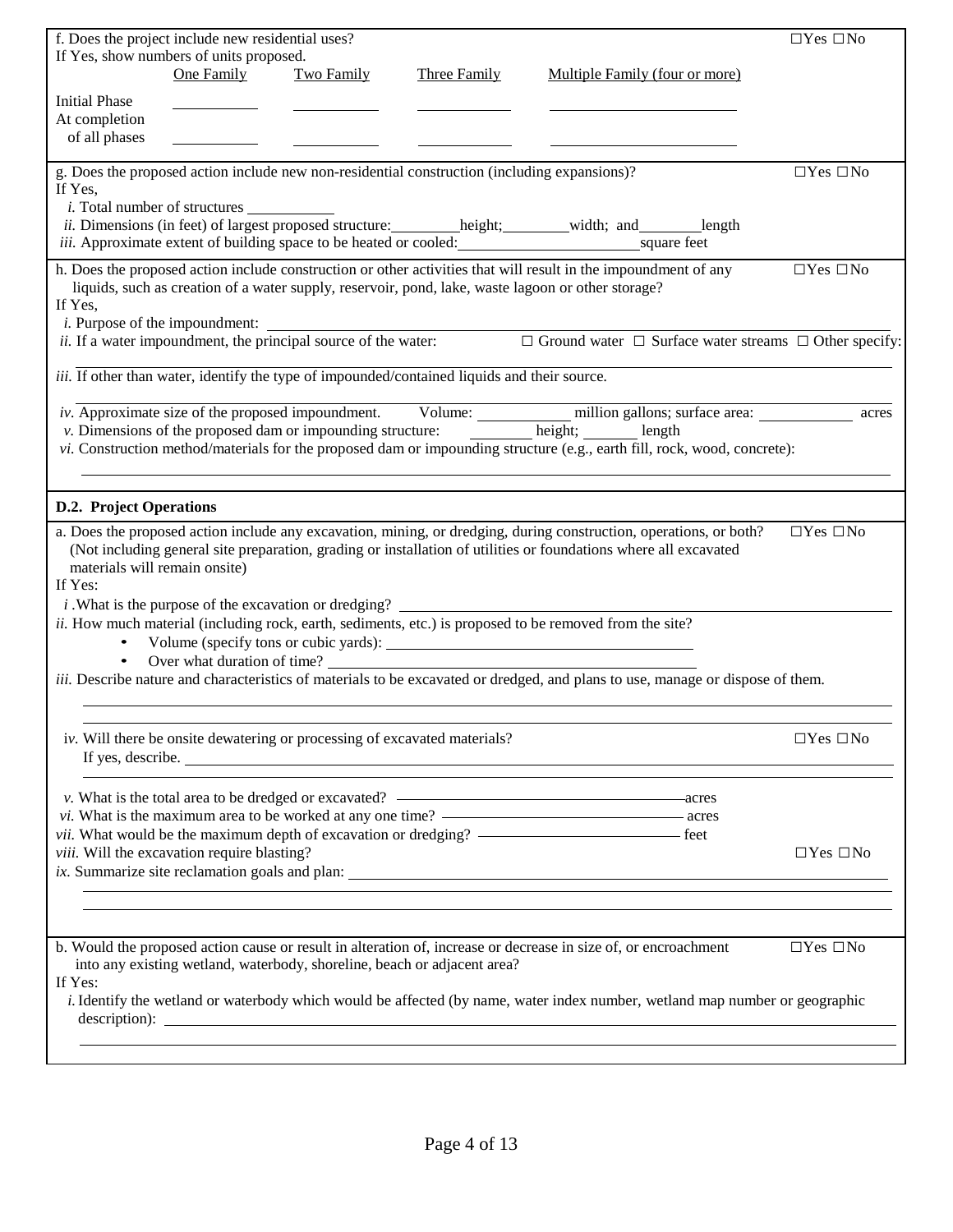|                                          | f. Does the project include new residential uses?                         |                   |                                                                                              |                                                                                                                                                                                                                                                                                                                                                                                                                                      | $\Box$ Yes $\Box$ No |
|------------------------------------------|---------------------------------------------------------------------------|-------------------|----------------------------------------------------------------------------------------------|--------------------------------------------------------------------------------------------------------------------------------------------------------------------------------------------------------------------------------------------------------------------------------------------------------------------------------------------------------------------------------------------------------------------------------------|----------------------|
|                                          | If Yes, show numbers of units proposed.                                   |                   |                                                                                              |                                                                                                                                                                                                                                                                                                                                                                                                                                      |                      |
|                                          | One Family                                                                | <b>Two Family</b> | Three Family                                                                                 | Multiple Family (four or more)                                                                                                                                                                                                                                                                                                                                                                                                       |                      |
| <b>Initial Phase</b>                     |                                                                           |                   |                                                                                              |                                                                                                                                                                                                                                                                                                                                                                                                                                      |                      |
| At completion<br>of all phases           |                                                                           |                   |                                                                                              |                                                                                                                                                                                                                                                                                                                                                                                                                                      |                      |
|                                          |                                                                           |                   |                                                                                              |                                                                                                                                                                                                                                                                                                                                                                                                                                      |                      |
| If Yes.                                  | <i>i</i> . Total number of structures                                     |                   | g. Does the proposed action include new non-residential construction (including expansions)? |                                                                                                                                                                                                                                                                                                                                                                                                                                      | $\Box$ Yes $\Box$ No |
|                                          |                                                                           |                   |                                                                                              | <i>iii.</i> Approximate extent of building space to be heated or cooled: square feet                                                                                                                                                                                                                                                                                                                                                 |                      |
| If Yes,                                  |                                                                           |                   |                                                                                              | h. Does the proposed action include construction or other activities that will result in the impoundment of any<br>liquids, such as creation of a water supply, reservoir, pond, lake, waste lagoon or other storage?<br><i>i.</i> Purpose of the impoundment: $\overline{\phantom{a}}$ <i>ii.</i> If a water impoundment, the principal source of the water: $\Box$ Ground water $\Box$ Surface water streams $\Box$ Other specify: | $\Box$ Yes $\Box$ No |
|                                          |                                                                           |                   |                                                                                              |                                                                                                                                                                                                                                                                                                                                                                                                                                      |                      |
|                                          |                                                                           |                   | iii. If other than water, identify the type of impounded/contained liquids and their source. |                                                                                                                                                                                                                                                                                                                                                                                                                                      |                      |
|                                          |                                                                           |                   |                                                                                              | <i>iv.</i> Approximate size of the proposed impoundment. Volume: million gallons; surface area:<br>v. Dimensions of the proposed dam or impounding structure: height; ______ height; length<br>vi. Construction method/materials for the proposed dam or impounding structure (e.g., earth fill, rock, wood, concrete):                                                                                                              | acres                |
|                                          |                                                                           |                   |                                                                                              |                                                                                                                                                                                                                                                                                                                                                                                                                                      |                      |
| <b>D.2. Project Operations</b>           |                                                                           |                   |                                                                                              |                                                                                                                                                                                                                                                                                                                                                                                                                                      |                      |
| materials will remain onsite)<br>If Yes: |                                                                           |                   |                                                                                              | a. Does the proposed action include any excavation, mining, or dredging, during construction, operations, or both?<br>(Not including general site preparation, grading or installation of utilities or foundations where all excavated                                                                                                                                                                                               | $\Box$ Yes $\Box$ No |
|                                          |                                                                           |                   |                                                                                              | ii. How much material (including rock, earth, sediments, etc.) is proposed to be removed from the site?                                                                                                                                                                                                                                                                                                                              |                      |
| $\bullet$                                |                                                                           |                   |                                                                                              | Over what duration of time?                                                                                                                                                                                                                                                                                                                                                                                                          |                      |
|                                          |                                                                           |                   |                                                                                              | <i>iii.</i> Describe nature and characteristics of materials to be excavated or dredged, and plans to use, manage or dispose of them.                                                                                                                                                                                                                                                                                                |                      |
|                                          |                                                                           |                   |                                                                                              |                                                                                                                                                                                                                                                                                                                                                                                                                                      |                      |
|                                          | iv. Will there be onsite dewatering or processing of excavated materials? |                   | If yes, describe.                                                                            |                                                                                                                                                                                                                                                                                                                                                                                                                                      | $\Box$ Yes $\Box$ No |
|                                          |                                                                           |                   |                                                                                              |                                                                                                                                                                                                                                                                                                                                                                                                                                      |                      |
|                                          |                                                                           |                   |                                                                                              |                                                                                                                                                                                                                                                                                                                                                                                                                                      |                      |
|                                          | viii. Will the excavation require blasting?                               |                   |                                                                                              |                                                                                                                                                                                                                                                                                                                                                                                                                                      | $\Box$ Yes $\Box$ No |
|                                          |                                                                           |                   |                                                                                              |                                                                                                                                                                                                                                                                                                                                                                                                                                      |                      |
|                                          | <u> 1980 - Johann Barn, amerikansk politiker (d. 1980)</u>                |                   |                                                                                              |                                                                                                                                                                                                                                                                                                                                                                                                                                      |                      |
|                                          |                                                                           |                   |                                                                                              | b. Would the proposed action cause or result in alteration of, increase or decrease in size of, or encroachment                                                                                                                                                                                                                                                                                                                      | $\Box$ Yes $\Box$ No |
| If Yes:                                  | into any existing wetland, waterbody, shoreline, beach or adjacent area?  |                   |                                                                                              |                                                                                                                                                                                                                                                                                                                                                                                                                                      |                      |
|                                          |                                                                           |                   |                                                                                              | <i>i</i> . Identify the wetland or waterbody which would be affected (by name, water index number, wetland map number or geographic                                                                                                                                                                                                                                                                                                  |                      |
|                                          |                                                                           |                   |                                                                                              |                                                                                                                                                                                                                                                                                                                                                                                                                                      |                      |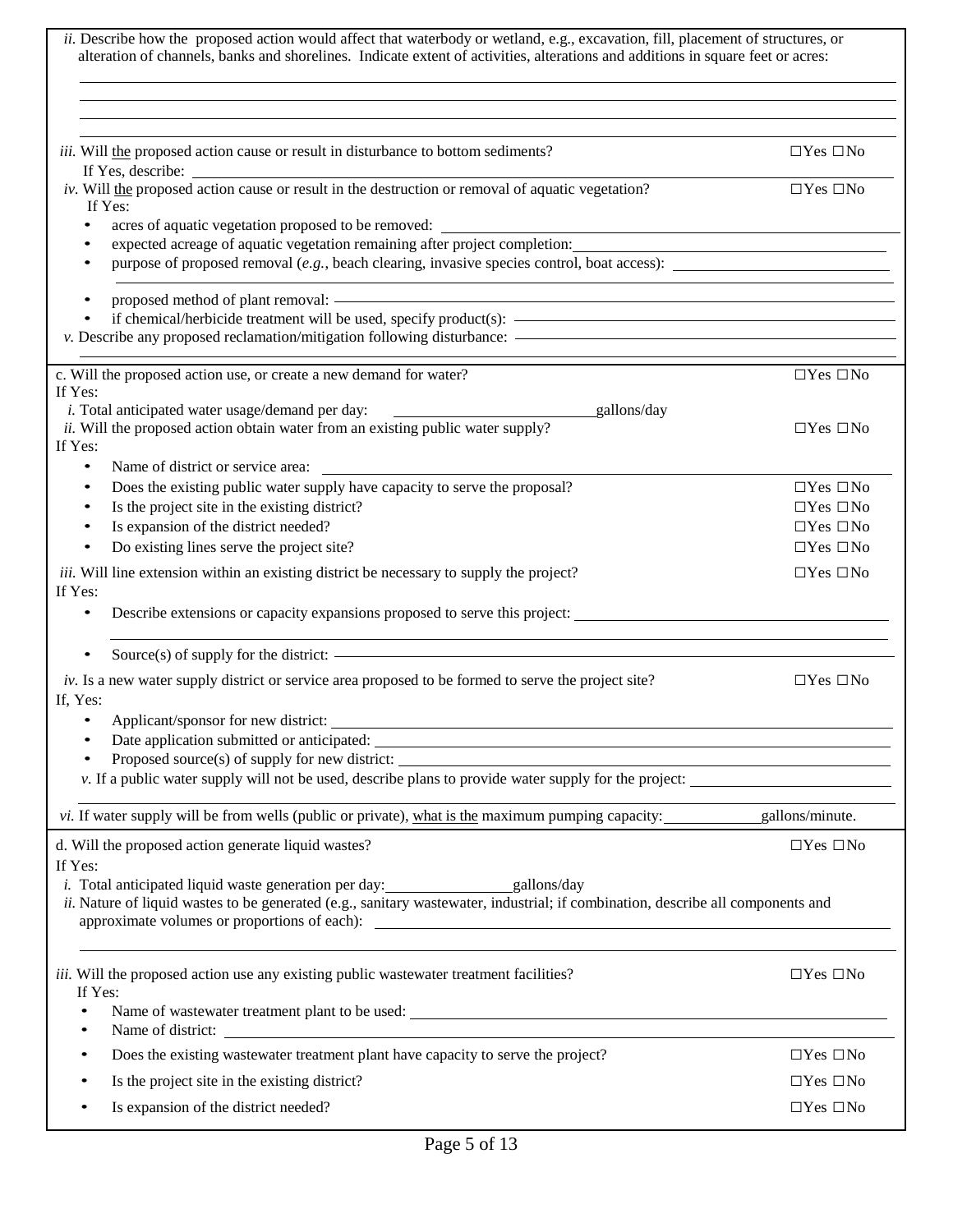| ii. Describe how the proposed action would affect that waterbody or wetland, e.g., excavation, fill, placement of structures, or<br>alteration of channels, banks and shorelines. Indicate extent of activities, alterations and additions in square feet or acres:                                                                                                    |                      |
|------------------------------------------------------------------------------------------------------------------------------------------------------------------------------------------------------------------------------------------------------------------------------------------------------------------------------------------------------------------------|----------------------|
| <i>iii.</i> Will the proposed action cause or result in disturbance to bottom sediments?<br>If Yes, describe:                                                                                                                                                                                                                                                          | $\Box$ Yes $\Box$ No |
| iv. Will the proposed action cause or result in the destruction or removal of aquatic vegetation?<br>If Yes:                                                                                                                                                                                                                                                           | $\Box$ Yes $\Box$ No |
| acres of aquatic vegetation proposed to be removed: _____________________________<br>٠                                                                                                                                                                                                                                                                                 |                      |
| expected acreage of aquatic vegetation remaining after project completion:                                                                                                                                                                                                                                                                                             |                      |
| purpose of proposed removal $(e, g, e)$ , beach clearing, invasive species control, boat access):                                                                                                                                                                                                                                                                      |                      |
| proposed method of plant removal: <u>example and contract and contract and contract and contract and contract and contract and contract and contract and contract and contract and contract and contract and contract and contra</u>                                                                                                                                   |                      |
|                                                                                                                                                                                                                                                                                                                                                                        |                      |
|                                                                                                                                                                                                                                                                                                                                                                        |                      |
|                                                                                                                                                                                                                                                                                                                                                                        |                      |
| c. Will the proposed action use, or create a new demand for water?<br>If Yes:                                                                                                                                                                                                                                                                                          | $\Box$ Yes $\Box$ No |
| i. Total anticipated water usage/demand per day:<br>gallons/day                                                                                                                                                                                                                                                                                                        |                      |
| ii. Will the proposed action obtain water from an existing public water supply?<br>If Yes:                                                                                                                                                                                                                                                                             | $\Box$ Yes $\Box$ No |
| Name of district or service area:<br>٠                                                                                                                                                                                                                                                                                                                                 |                      |
| Does the existing public water supply have capacity to serve the proposal?                                                                                                                                                                                                                                                                                             | $\Box$ Yes $\Box$ No |
| Is the project site in the existing district?                                                                                                                                                                                                                                                                                                                          | $\Box$ Yes $\Box$ No |
| Is expansion of the district needed?                                                                                                                                                                                                                                                                                                                                   | $\Box$ Yes $\Box$ No |
| Do existing lines serve the project site?<br>٠                                                                                                                                                                                                                                                                                                                         | $\Box$ Yes $\Box$ No |
| iii. Will line extension within an existing district be necessary to supply the project?<br>If Yes:                                                                                                                                                                                                                                                                    | $\Box$ Yes $\Box$ No |
| ٠                                                                                                                                                                                                                                                                                                                                                                      |                      |
|                                                                                                                                                                                                                                                                                                                                                                        |                      |
| $iv$ . Is a new water supply district or service area proposed to be formed to serve the project site?<br>If, Yes:                                                                                                                                                                                                                                                     | $\Box$ Yes $\Box$ No |
| Applicant/sponsor for new district:                                                                                                                                                                                                                                                                                                                                    |                      |
|                                                                                                                                                                                                                                                                                                                                                                        |                      |
|                                                                                                                                                                                                                                                                                                                                                                        |                      |
| v. If a public water supply will not be used, describe plans to provide water supply for the project:                                                                                                                                                                                                                                                                  |                      |
| vi. If water supply will be from wells (public or private), what is the maximum pumping capacity: gallons/minute.                                                                                                                                                                                                                                                      |                      |
| d. Will the proposed action generate liquid wastes?<br>If Yes:                                                                                                                                                                                                                                                                                                         | $\Box$ Yes $\Box$ No |
| ii. Nature of liquid wastes to be generated (e.g., sanitary wastewater, industrial; if combination, describe all components and<br>approximate volumes or proportions of each):<br><u>examples</u> and the set of each set of each set of each set of each set of each set of each set of each set of each set of each set of each set of each set of each set of each |                      |
| iii. Will the proposed action use any existing public wastewater treatment facilities?<br>If Yes:                                                                                                                                                                                                                                                                      | $\Box$ Yes $\Box$ No |
|                                                                                                                                                                                                                                                                                                                                                                        |                      |
| Does the existing wastewater treatment plant have capacity to serve the project?                                                                                                                                                                                                                                                                                       | $\Box$ Yes $\Box$ No |
| Is the project site in the existing district?                                                                                                                                                                                                                                                                                                                          | $\Box$ Yes $\Box$ No |
| Is expansion of the district needed?                                                                                                                                                                                                                                                                                                                                   | $\Box$ Yes $\Box$ No |
|                                                                                                                                                                                                                                                                                                                                                                        |                      |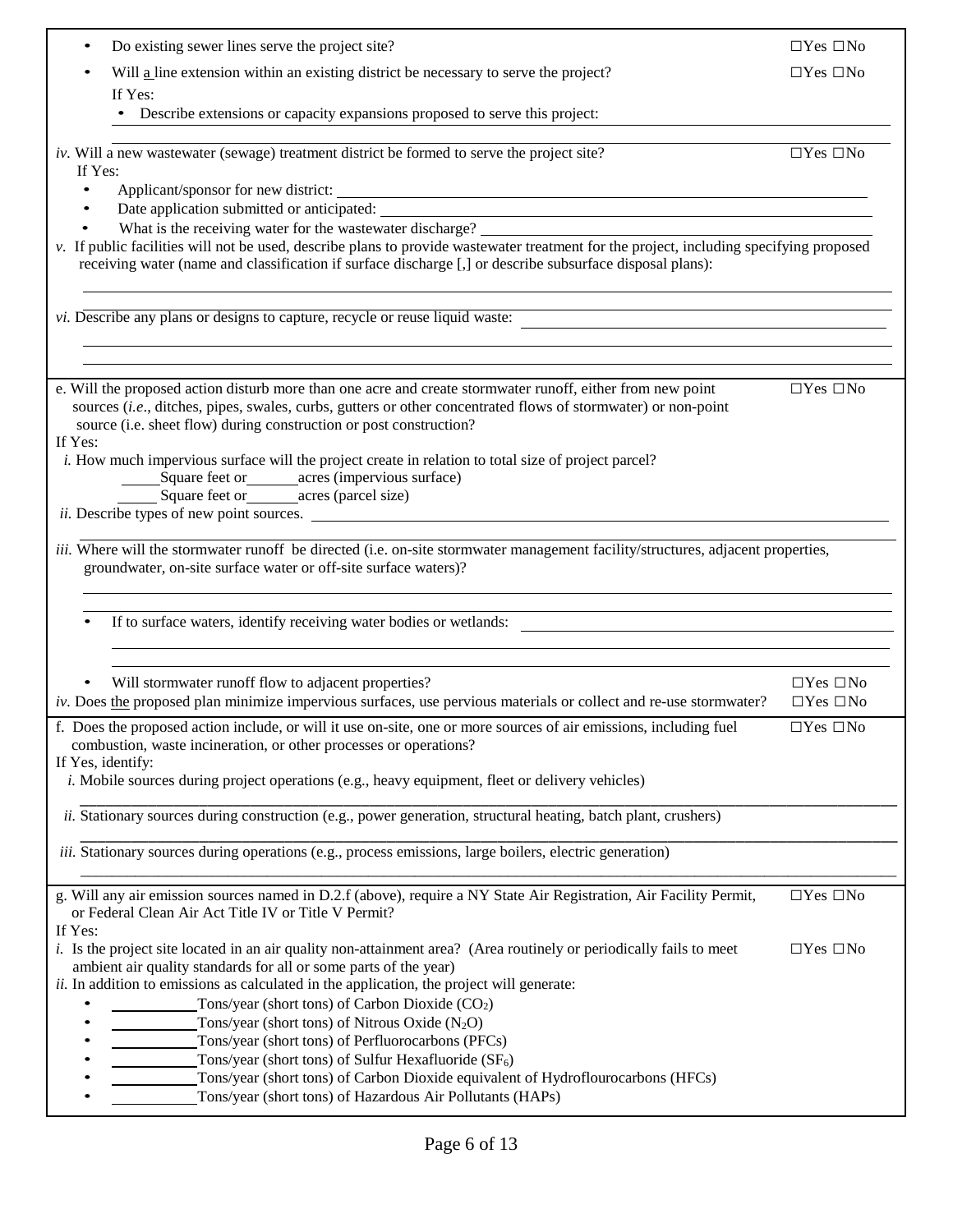| Do existing sewer lines serve the project site?                                                                                                                                                                                                      | $\Box$ Yes $\Box$ No |
|------------------------------------------------------------------------------------------------------------------------------------------------------------------------------------------------------------------------------------------------------|----------------------|
| Will a line extension within an existing district be necessary to serve the project?                                                                                                                                                                 | $\Box$ Yes $\Box$ No |
| If Yes:                                                                                                                                                                                                                                              |                      |
| • Describe extensions or capacity expansions proposed to serve this project:                                                                                                                                                                         |                      |
|                                                                                                                                                                                                                                                      |                      |
| iv. Will a new wastewater (sewage) treatment district be formed to serve the project site?                                                                                                                                                           | $\Box$ Yes $\Box$ No |
| If Yes:                                                                                                                                                                                                                                              |                      |
| $\bullet$                                                                                                                                                                                                                                            |                      |
| $\bullet$                                                                                                                                                                                                                                            |                      |
| What is the receiving water for the wastewater discharge? _______________________                                                                                                                                                                    |                      |
| v. If public facilities will not be used, describe plans to provide wastewater treatment for the project, including specifying proposed<br>receiving water (name and classification if surface discharge [,] or describe subsurface disposal plans): |                      |
|                                                                                                                                                                                                                                                      |                      |
|                                                                                                                                                                                                                                                      |                      |
| vi. Describe any plans or designs to capture, recycle or reuse liquid waste:                                                                                                                                                                         |                      |
|                                                                                                                                                                                                                                                      |                      |
|                                                                                                                                                                                                                                                      |                      |
| e. Will the proposed action disturb more than one acre and create stormwater runoff, either from new point                                                                                                                                           | $\Box$ Yes $\Box$ No |
| sources (i.e., ditches, pipes, swales, curbs, gutters or other concentrated flows of stormwater) or non-point                                                                                                                                        |                      |
| source (i.e. sheet flow) during construction or post construction?                                                                                                                                                                                   |                      |
| If Yes:                                                                                                                                                                                                                                              |                      |
| <i>i.</i> How much impervious surface will the project create in relation to total size of project parcel?                                                                                                                                           |                      |
| _______Square feet or_________acres (impervious surface)                                                                                                                                                                                             |                      |
| Square feet or ________ acres (parcel size)                                                                                                                                                                                                          |                      |
| <i>ii.</i> Describe types of new point sources.                                                                                                                                                                                                      |                      |
| iii. Where will the stormwater runoff be directed (i.e. on-site stormwater management facility/structures, adjacent properties,                                                                                                                      |                      |
| groundwater, on-site surface water or off-site surface waters)?                                                                                                                                                                                      |                      |
|                                                                                                                                                                                                                                                      |                      |
|                                                                                                                                                                                                                                                      |                      |
| If to surface waters, identify receiving water bodies or wetlands:<br><u> 1989 - Johann Stein, Amerikaansk politiker (</u>                                                                                                                           |                      |
|                                                                                                                                                                                                                                                      |                      |
|                                                                                                                                                                                                                                                      |                      |
| Will stormwater runoff flow to adjacent properties?                                                                                                                                                                                                  | $\Box$ Yes $\Box$ No |
| $iv$ . Does the proposed plan minimize impervious surfaces, use pervious materials or collect and re-use stormwater?                                                                                                                                 | $\Box$ Yes $\Box$ No |
| f. Does the proposed action include, or will it use on-site, one or more sources of air emissions, including fuel                                                                                                                                    | $\Box$ Yes $\Box$ No |
| combustion, waste incineration, or other processes or operations?                                                                                                                                                                                    |                      |
| If Yes, identify:                                                                                                                                                                                                                                    |                      |
| <i>i.</i> Mobile sources during project operations (e.g., heavy equipment, fleet or delivery vehicles)                                                                                                                                               |                      |
| <i>ii.</i> Stationary sources during construction (e.g., power generation, structural heating, batch plant, crushers)                                                                                                                                |                      |
|                                                                                                                                                                                                                                                      |                      |
| <i>iii.</i> Stationary sources during operations (e.g., process emissions, large boilers, electric generation)                                                                                                                                       |                      |
|                                                                                                                                                                                                                                                      |                      |
| g. Will any air emission sources named in D.2.f (above), require a NY State Air Registration, Air Facility Permit,                                                                                                                                   | $\Box$ Yes $\Box$ No |
| or Federal Clean Air Act Title IV or Title V Permit?                                                                                                                                                                                                 |                      |
| If Yes:                                                                                                                                                                                                                                              |                      |
| <i>i.</i> Is the project site located in an air quality non-attainment area? (Area routinely or periodically fails to meet                                                                                                                           | $\Box$ Yes $\Box$ No |
| ambient air quality standards for all or some parts of the year)<br>ii. In addition to emissions as calculated in the application, the project will generate:                                                                                        |                      |
| Tons/year (short tons) of Carbon Dioxide $(CO2)$                                                                                                                                                                                                     |                      |
| Tons/year (short tons) of Nitrous Oxide $(N_2O)$                                                                                                                                                                                                     |                      |
| Tons/year (short tons) of Perfluorocarbons (PFCs)                                                                                                                                                                                                    |                      |
| Tons/year (short tons) of Sulfur Hexafluoride $(SF_6)$                                                                                                                                                                                               |                      |
|                                                                                                                                                                                                                                                      |                      |
| Tons/year (short tons) of Carbon Dioxide equivalent of Hydroflourocarbons (HFCs)                                                                                                                                                                     |                      |
| Tons/year (short tons) of Hazardous Air Pollutants (HAPs)                                                                                                                                                                                            |                      |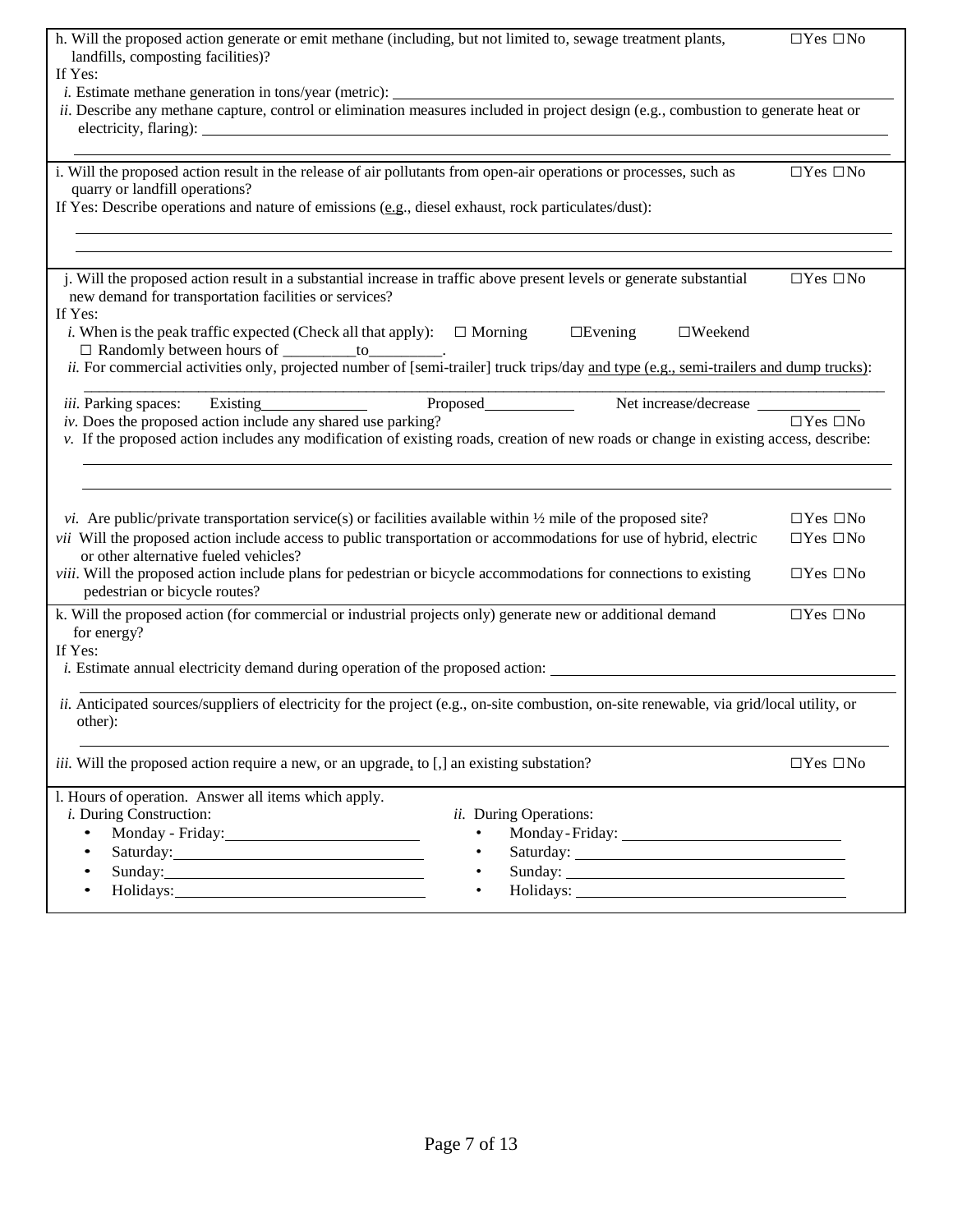| h. Will the proposed action generate or emit methane (including, but not limited to, sewage treatment plants,<br>landfills, composting facilities)?<br>If Yes:                                                                                                                                                                                                                                                                                                                                                                                                                                                                                                | $\Box$ Yes $\Box$ No                                                 |
|---------------------------------------------------------------------------------------------------------------------------------------------------------------------------------------------------------------------------------------------------------------------------------------------------------------------------------------------------------------------------------------------------------------------------------------------------------------------------------------------------------------------------------------------------------------------------------------------------------------------------------------------------------------|----------------------------------------------------------------------|
| ii. Describe any methane capture, control or elimination measures included in project design (e.g., combustion to generate heat or                                                                                                                                                                                                                                                                                                                                                                                                                                                                                                                            |                                                                      |
| i. Will the proposed action result in the release of air pollutants from open-air operations or processes, such as<br>quarry or landfill operations?<br>If Yes: Describe operations and nature of emissions (e.g., diesel exhaust, rock particulates/dust):                                                                                                                                                                                                                                                                                                                                                                                                   | $\Box$ Yes $\Box$ No                                                 |
| j. Will the proposed action result in a substantial increase in traffic above present levels or generate substantial<br>new demand for transportation facilities or services?<br>If Yes:<br><i>i</i> . When is the peak traffic expected (Check all that apply): $\square$ Morning<br>$\Box$ Evening<br>$\square$ Weekend<br>□ Randomly between hours of _________to_________.<br>ii. For commercial activities only, projected number of [semi-trailer] truck trips/day and type (e.g., semi-trailers and dump trucks):                                                                                                                                      | $\Box$ Yes $\Box$ No                                                 |
| iii. Parking spaces:<br>Proposed<br>Existing<br>Net increase/decrease<br>$iv.$ Does the proposed action include any shared use parking?<br>v. If the proposed action includes any modification of existing roads, creation of new roads or change in existing access, describe:                                                                                                                                                                                                                                                                                                                                                                               | $\Box$ Yes $\Box$ No                                                 |
| <i>vi.</i> Are public/private transportation service(s) or facilities available within $\frac{1}{2}$ mile of the proposed site?<br>vii Will the proposed action include access to public transportation or accommodations for use of hybrid, electric<br>or other alternative fueled vehicles?<br>viii. Will the proposed action include plans for pedestrian or bicycle accommodations for connections to existing<br>pedestrian or bicycle routes?                                                                                                                                                                                                          | $\Box$ Yes $\Box$ No<br>$\Box$ Yes $\Box$ No<br>$\Box$ Yes $\Box$ No |
| k. Will the proposed action (for commercial or industrial projects only) generate new or additional demand<br>for energy?<br>If Yes:<br><i>i.</i> Estimate annual electricity demand during operation of the proposed action:<br>ii. Anticipated sources/suppliers of electricity for the project (e.g., on-site combustion, on-site renewable, via grid/local utility, or<br>other):                                                                                                                                                                                                                                                                         | $\Box$ Yes $\Box$ No                                                 |
| <i>iii.</i> Will the proposed action require a new, or an upgrade, to [,] an existing substation?                                                                                                                                                                                                                                                                                                                                                                                                                                                                                                                                                             | $\Box$ Yes $\Box$ No                                                 |
| l. Hours of operation. Answer all items which apply.<br><i>i</i> . During Construction:<br>ii. During Operations:<br>$\bullet$<br>Saturday: 1999. The Saturday:<br>$\bullet$<br>$\bullet$<br>Sunday: 2008. Expanding the contract of the contract of the contract of the contract of the contract of the contract of the contract of the contract of the contract of the contract of the contract of the contract of the co<br>Holidays: 1999 - March 1999 - March 1999 - March 1999 - March 1999 - March 1999 - March 1999 - March 1999 - March 1999 - March 1999 - March 1999 - March 1999 - March 1999 - March 1999 - March 1999 - March 1999 - March 1999 |                                                                      |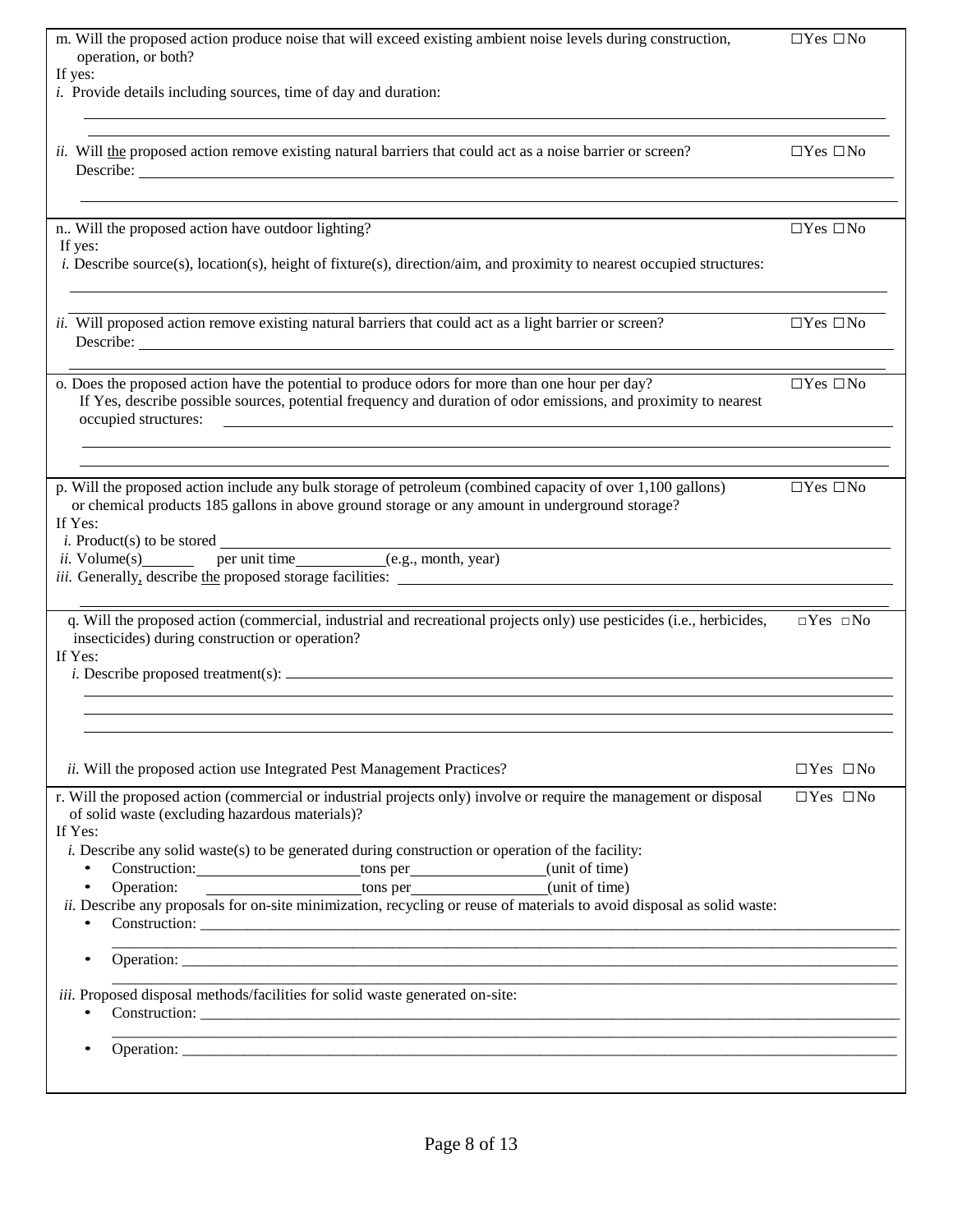| m. Will the proposed action produce noise that will exceed existing ambient noise levels during construction,                                                   | $\Box$ Yes $\Box$ No |
|-----------------------------------------------------------------------------------------------------------------------------------------------------------------|----------------------|
| operation, or both?<br>If yes:                                                                                                                                  |                      |
| <i>i.</i> Provide details including sources, time of day and duration:                                                                                          |                      |
|                                                                                                                                                                 |                      |
| <i>ii.</i> Will the proposed action remove existing natural barriers that could act as a noise barrier or screen?                                               | $\Box$ Yes $\Box$ No |
|                                                                                                                                                                 |                      |
|                                                                                                                                                                 |                      |
| n Will the proposed action have outdoor lighting?                                                                                                               | $\Box$ Yes $\Box$ No |
| If yes:                                                                                                                                                         |                      |
| $i$ . Describe source(s), location(s), height of fixture(s), direction/aim, and proximity to nearest occupied structures:                                       |                      |
|                                                                                                                                                                 |                      |
| ii. Will proposed action remove existing natural barriers that could act as a light barrier or screen?                                                          | $\Box$ Yes $\Box$ No |
|                                                                                                                                                                 |                      |
| o. Does the proposed action have the potential to produce odors for more than one hour per day?                                                                 | $\Box$ Yes $\Box$ No |
| If Yes, describe possible sources, potential frequency and duration of odor emissions, and proximity to nearest                                                 |                      |
| occupied structures:                                                                                                                                            |                      |
|                                                                                                                                                                 |                      |
| p. Will the proposed action include any bulk storage of petroleum (combined capacity of over 1,100 gallons)                                                     | $\Box$ Yes $\Box$ No |
| or chemical products 185 gallons in above ground storage or any amount in underground storage?<br>If Yes:                                                       |                      |
|                                                                                                                                                                 |                      |
| <i>i.</i> Product(s) to be stored $\frac{1}{\text{pi}}$ per unit time (e.g., month, year)                                                                       |                      |
|                                                                                                                                                                 |                      |
| q. Will the proposed action (commercial, industrial and recreational projects only) use pesticides (i.e., herbicides,                                           | $\Box$ Yes $\Box$ No |
| insecticides) during construction or operation?                                                                                                                 |                      |
| If Yes:                                                                                                                                                         |                      |
|                                                                                                                                                                 |                      |
|                                                                                                                                                                 |                      |
|                                                                                                                                                                 |                      |
| ii. Will the proposed action use Integrated Pest Management Practices?                                                                                          | $\Box$ Yes $\Box$ No |
| r. Will the proposed action (commercial or industrial projects only) involve or require the management or disposal                                              | $\Box$ Yes $\Box$ No |
| of solid waste (excluding hazardous materials)?<br>If Yes:                                                                                                      |                      |
| i. Describe any solid waste(s) to be generated during construction or operation of the facility:                                                                |                      |
| Construction: __________________________tons per_________________(unit of time)                                                                                 |                      |
| Operation:<br>tons per (unit of time)<br>ii. Describe any proposals for on-site minimization, recycling or reuse of materials to avoid disposal as solid waste: |                      |
|                                                                                                                                                                 |                      |
| $\bullet$                                                                                                                                                       |                      |
|                                                                                                                                                                 |                      |
| iii. Proposed disposal methods/facilities for solid waste generated on-site:                                                                                    |                      |
|                                                                                                                                                                 |                      |
|                                                                                                                                                                 |                      |
|                                                                                                                                                                 |                      |
|                                                                                                                                                                 |                      |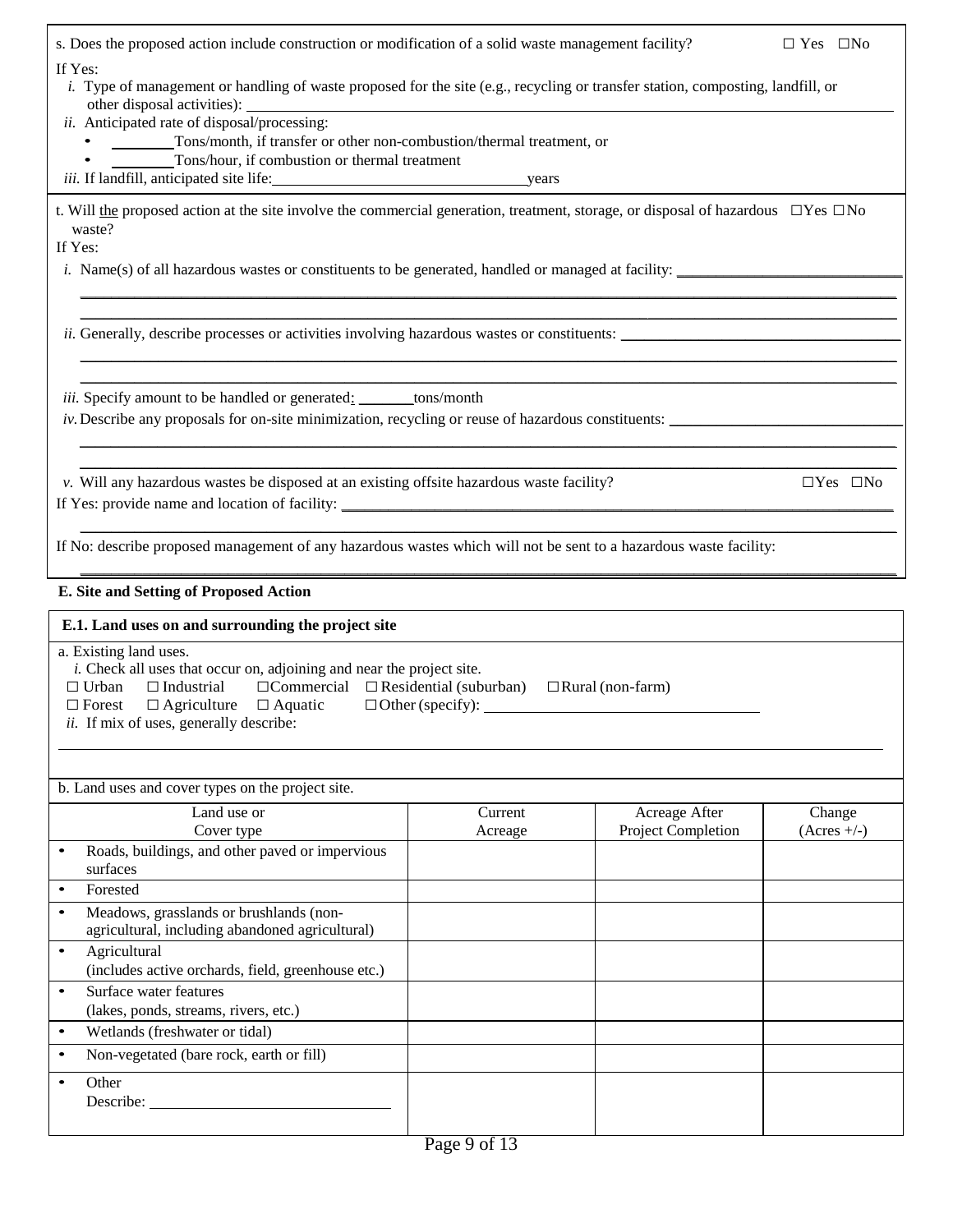| s. Does the proposed action include construction or modification of a solid waste management facility?                                                                                                                                                                                           |                         |                                            | $\Box$ Yes $\Box$ No    |
|--------------------------------------------------------------------------------------------------------------------------------------------------------------------------------------------------------------------------------------------------------------------------------------------------|-------------------------|--------------------------------------------|-------------------------|
| If Yes:<br>i. Type of management or handling of waste proposed for the site (e.g., recycling or transfer station, composting, landfill, or<br>other disposal activities):                                                                                                                        |                         |                                            |                         |
| ii. Anticipated rate of disposal/processing:<br>Tons/month, if transfer or other non-combustion/thermal treatment, or<br>Tons/hour, if combustion or thermal treatment                                                                                                                           |                         |                                            |                         |
|                                                                                                                                                                                                                                                                                                  |                         |                                            |                         |
| t. Will the proposed action at the site involve the commercial generation, treatment, storage, or disposal of hazardous $\Box$ Yes $\Box$ No<br>waste?<br>If Yes:                                                                                                                                |                         |                                            |                         |
| <i>i.</i> Name(s) of all hazardous wastes or constituents to be generated, handled or managed at facility:                                                                                                                                                                                       |                         |                                            |                         |
| <i>ii.</i> Generally, describe processes or activities involving hazardous wastes or constituents:                                                                                                                                                                                               |                         |                                            |                         |
| iii. Specify amount to be handled or generated: ______tons/month<br>$iv$ . Describe any proposals for on-site minimization, recycling or reuse of hazardous constituents:                                                                                                                        |                         |                                            |                         |
| v. Will any hazardous wastes be disposed at an existing offsite hazardous waste facility?                                                                                                                                                                                                        |                         |                                            | $\Box$ Yes $\Box$ No    |
| If No: describe proposed management of any hazardous wastes which will not be sent to a hazardous waste facility:                                                                                                                                                                                |                         |                                            |                         |
| E. Site and Setting of Proposed Action                                                                                                                                                                                                                                                           |                         |                                            |                         |
| E.1. Land uses on and surrounding the project site                                                                                                                                                                                                                                               |                         |                                            |                         |
| a. Existing land uses.<br><i>i</i> . Check all uses that occur on, adjoining and near the project site.<br>$\Box$ Commercial $\Box$ Residential (suburban)<br>$\Box$ Urban<br>$\Box$ Industrial<br>$\Box$ Agriculture $\Box$ Aquatic<br>$\Box$ Forest<br>ii. If mix of uses, generally describe: | $\Box$ Other (specify): | $\Box$ Rural (non-farm)                    |                         |
|                                                                                                                                                                                                                                                                                                  |                         |                                            |                         |
| b. Land uses and cover types on the project site.                                                                                                                                                                                                                                                |                         |                                            |                         |
| Land use or<br>Cover type                                                                                                                                                                                                                                                                        | Current<br>Acreage      | Acreage After<br><b>Project Completion</b> | Change<br>$(Acres +/-)$ |
| Roads, buildings, and other paved or impervious<br>$\bullet$<br>surfaces                                                                                                                                                                                                                         |                         |                                            |                         |
| Forested<br>$\bullet$                                                                                                                                                                                                                                                                            |                         |                                            |                         |
| Meadows, grasslands or brushlands (non-<br>$\bullet$<br>agricultural, including abandoned agricultural)                                                                                                                                                                                          |                         |                                            |                         |
| Agricultural<br>$\bullet$<br>(includes active orchards, field, greenhouse etc.)                                                                                                                                                                                                                  |                         |                                            |                         |
| Surface water features<br>$\bullet$                                                                                                                                                                                                                                                              |                         |                                            |                         |
| (lakes, ponds, streams, rivers, etc.)<br>Wetlands (freshwater or tidal)<br>$\bullet$                                                                                                                                                                                                             |                         |                                            |                         |
| Non-vegetated (bare rock, earth or fill)<br>$\bullet$                                                                                                                                                                                                                                            |                         |                                            |                         |
| Other<br>$\bullet$<br>Describe:                                                                                                                                                                                                                                                                  |                         |                                            |                         |
|                                                                                                                                                                                                                                                                                                  |                         |                                            |                         |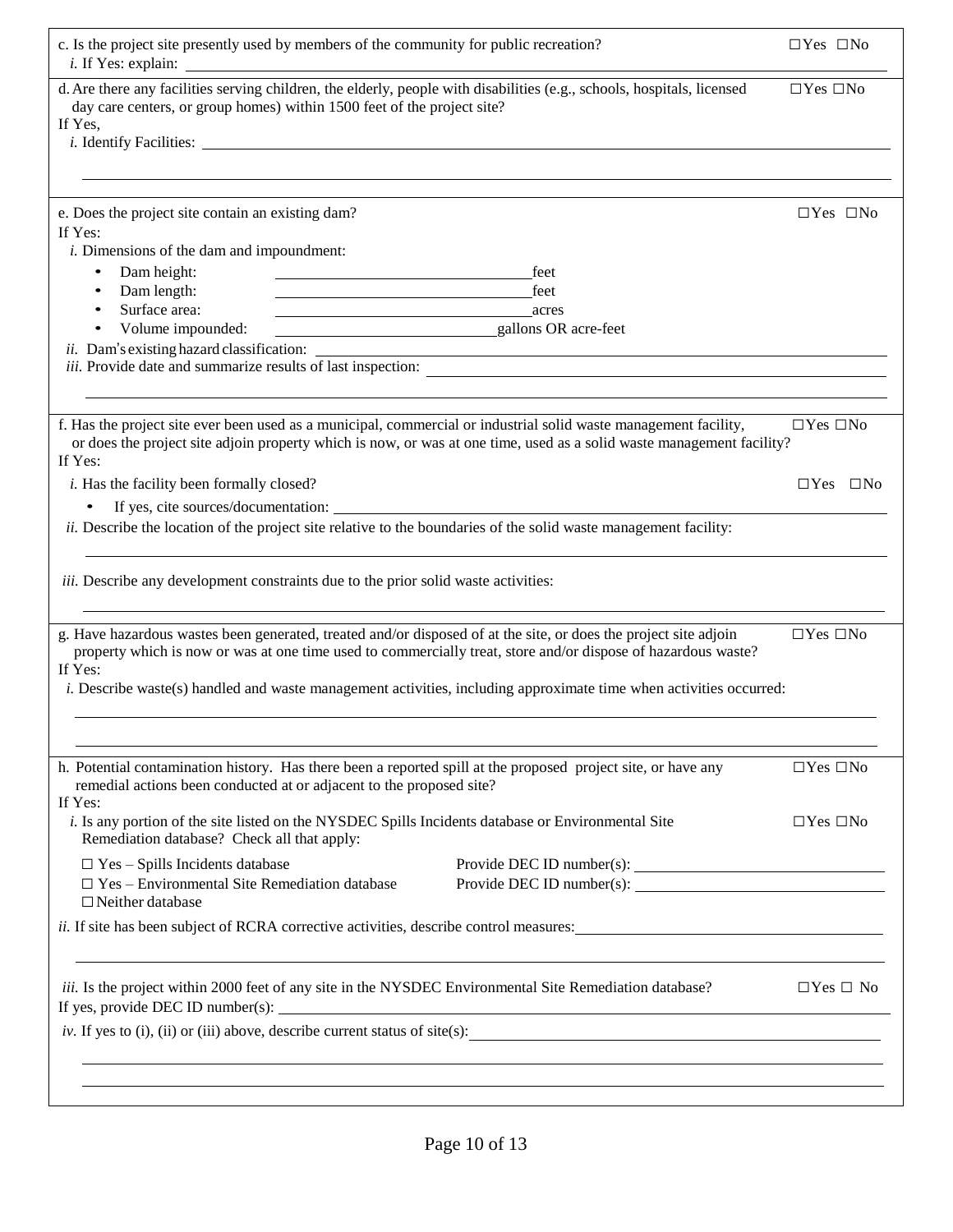| c. Is the project site presently used by members of the community for public recreation?                                                                                                                                                                                                                                                                                  | $\Box$ Yes $\Box$ No |
|---------------------------------------------------------------------------------------------------------------------------------------------------------------------------------------------------------------------------------------------------------------------------------------------------------------------------------------------------------------------------|----------------------|
| d. Are there any facilities serving children, the elderly, people with disabilities (e.g., schools, hospitals, licensed<br>day care centers, or group homes) within 1500 feet of the project site?<br>If Yes,                                                                                                                                                             | $\Box$ Yes $\Box$ No |
|                                                                                                                                                                                                                                                                                                                                                                           |                      |
| e. Does the project site contain an existing dam?<br>If Yes:<br><i>i</i> . Dimensions of the dam and impoundment:<br>Dam height:<br>feet<br>$\bullet$<br>Dam length:<br>feet<br>$\bullet$<br>Surface area:<br>$\bullet$<br><u>acres</u><br>Volume impounded:<br>gallons OR acre-feet                                                                                      | $\Box$ Yes $\Box$ No |
| f. Has the project site ever been used as a municipal, commercial or industrial solid waste management facility,<br>or does the project site adjoin property which is now, or was at one time, used as a solid waste management facility?<br>If Yes:                                                                                                                      | $\Box$ Yes $\Box$ No |
| <i>i</i> . Has the facility been formally closed?                                                                                                                                                                                                                                                                                                                         | $\Box$ Yes $\Box$ No |
| If yes, cite sources/documentation:<br>$\bullet$<br>ii. Describe the location of the project site relative to the boundaries of the solid waste management facility:                                                                                                                                                                                                      |                      |
| iii. Describe any development constraints due to the prior solid waste activities:                                                                                                                                                                                                                                                                                        |                      |
| g. Have hazardous wastes been generated, treated and/or disposed of at the site, or does the project site adjoin<br>property which is now or was at one time used to commercially treat, store and/or dispose of hazardous waste?<br>If Yes:<br><i>i.</i> Describe waste(s) handled and waste management activities, including approximate time when activities occurred: | $\Box$ Yes $\Box$ No |
|                                                                                                                                                                                                                                                                                                                                                                           |                      |
| h. Potential contamination history. Has there been a reported spill at the proposed project site, or have any<br>remedial actions been conducted at or adjacent to the proposed site?<br>If Yes:                                                                                                                                                                          | $\Box$ Yes $\Box$ No |
| <i>i.</i> Is any portion of the site listed on the NYSDEC Spills Incidents database or Environmental Site<br>Remediation database? Check all that apply:                                                                                                                                                                                                                  | $\Box$ Yes $\Box$ No |
| $\Box$ Yes - Spills Incidents database<br>$\Box$ Yes – Environmental Site Remediation database<br>$\Box$ Neither database                                                                                                                                                                                                                                                 |                      |
| <i>ii.</i> If site has been subject of RCRA corrective activities, describe control measures:                                                                                                                                                                                                                                                                             |                      |
| <i>iii.</i> Is the project within 2000 feet of any site in the NYSDEC Environmental Site Remediation database?                                                                                                                                                                                                                                                            | $\Box$ Yes $\Box$ No |
| iv. If yes to (i), (ii) or (iii) above, describe current status of site(s):                                                                                                                                                                                                                                                                                               |                      |
|                                                                                                                                                                                                                                                                                                                                                                           |                      |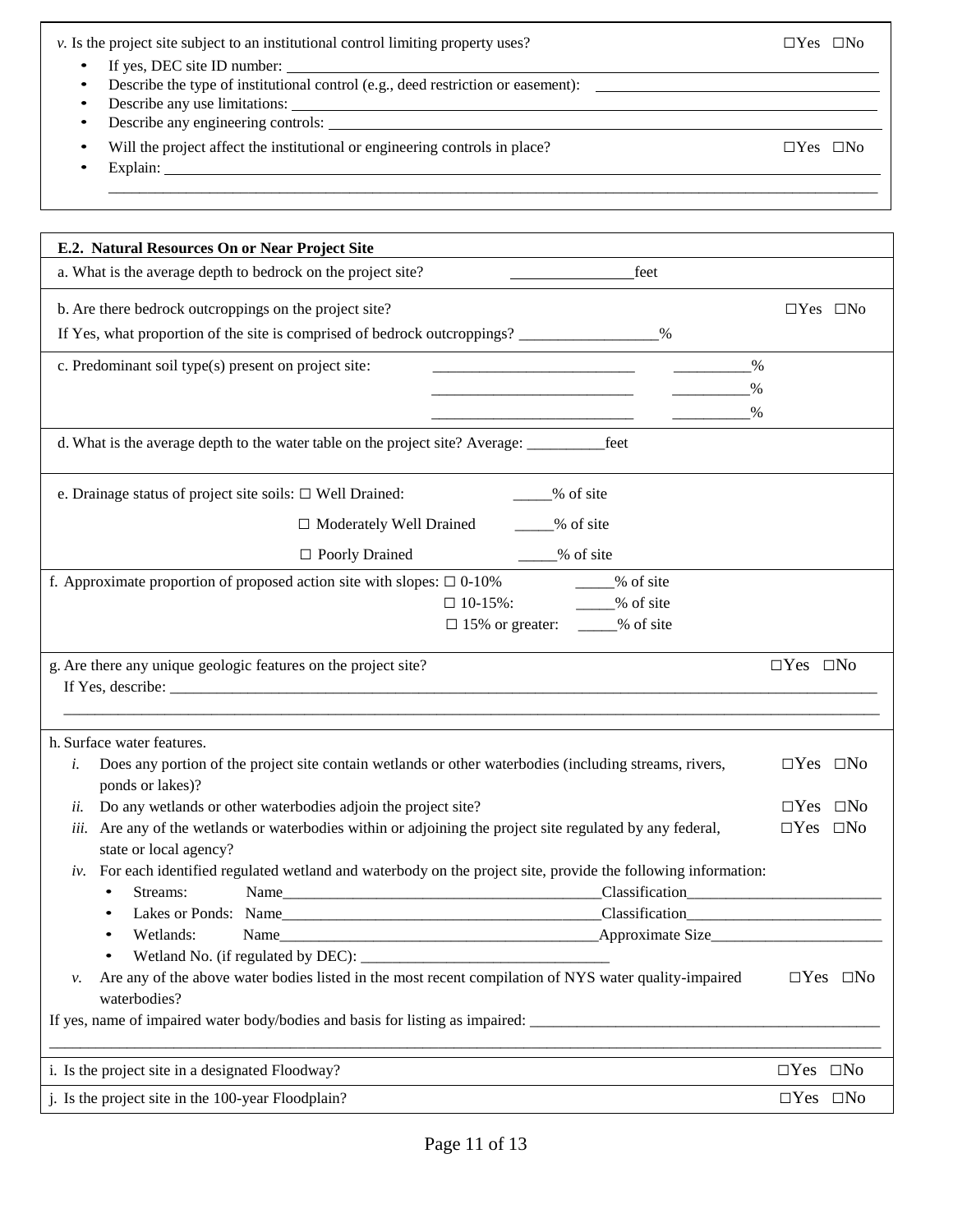| $\nu$ . Is the project site subject to an institutional control limiting property uses?<br>If yes, DEC site ID number:<br>Describe the type of institutional control (e.g., deed restriction or easement):<br>Describe any use limitations:<br>٠<br><u> 1989 - Johann Stoff, amerikansk politiker (d. 1989)</u><br>٠<br>Will the project affect the institutional or engineering controls in place?<br>Explain: | $\Box$ Yes $\Box$ No<br>$\Box$ Yes $\Box$ No    |
|-----------------------------------------------------------------------------------------------------------------------------------------------------------------------------------------------------------------------------------------------------------------------------------------------------------------------------------------------------------------------------------------------------------------|-------------------------------------------------|
|                                                                                                                                                                                                                                                                                                                                                                                                                 |                                                 |
|                                                                                                                                                                                                                                                                                                                                                                                                                 |                                                 |
| E.2. Natural Resources On or Near Project Site                                                                                                                                                                                                                                                                                                                                                                  |                                                 |
| a. What is the average depth to bedrock on the project site?<br>feet                                                                                                                                                                                                                                                                                                                                            |                                                 |
| b. Are there bedrock outcroppings on the project site?                                                                                                                                                                                                                                                                                                                                                          | $\Box$ Yes $\Box$ No                            |
| If Yes, what proportion of the site is comprised of bedrock outcroppings? __________________________                                                                                                                                                                                                                                                                                                            |                                                 |
| $\%$                                                                                                                                                                                                                                                                                                                                                                                                            |                                                 |
| c. Predominant soil type(s) present on project site:                                                                                                                                                                                                                                                                                                                                                            |                                                 |
| $\%$                                                                                                                                                                                                                                                                                                                                                                                                            |                                                 |
|                                                                                                                                                                                                                                                                                                                                                                                                                 |                                                 |
|                                                                                                                                                                                                                                                                                                                                                                                                                 |                                                 |
| % of site<br>e. Drainage status of project site soils: $\Box$ Well Drained:                                                                                                                                                                                                                                                                                                                                     |                                                 |
| □ Moderately Well Drained<br>____% of site                                                                                                                                                                                                                                                                                                                                                                      |                                                 |
|                                                                                                                                                                                                                                                                                                                                                                                                                 |                                                 |
| $\Box$ Poorly Drained<br>$\frac{9}{6}$ of site                                                                                                                                                                                                                                                                                                                                                                  |                                                 |
| f. Approximate proportion of proposed action site with slopes: $\Box$ 0-10% ______% of site<br>$\Box$ 10-15%: $\qquad \qquad \qquad$ % of site                                                                                                                                                                                                                                                                  |                                                 |
| $\Box$ 15% or greater: ____% of site                                                                                                                                                                                                                                                                                                                                                                            |                                                 |
|                                                                                                                                                                                                                                                                                                                                                                                                                 |                                                 |
| g. Are there any unique geologic features on the project site?                                                                                                                                                                                                                                                                                                                                                  | $\Box$ Yes $\Box$ No                            |
| If Yes, describe: $\sqrt{\frac{1}{2} \sum_{i=1}^{n} (x_i - x_i)^2 + (y_i - y_i)^2}$                                                                                                                                                                                                                                                                                                                             |                                                 |
|                                                                                                                                                                                                                                                                                                                                                                                                                 |                                                 |
| h. Surface water features.                                                                                                                                                                                                                                                                                                                                                                                      |                                                 |
| Does any portion of the project site contain wetlands or other waterbodies (including streams, rivers,<br>i.<br>ponds or lakes)?                                                                                                                                                                                                                                                                                | $\Box$ Yes $\Box$ No                            |
| Do any wetlands or other waterbodies adjoin the project site?<br>ii.                                                                                                                                                                                                                                                                                                                                            | $\Box$ Yes $\Box$ No                            |
| Are any of the wetlands or waterbodies within or adjoining the project site regulated by any federal,<br>iii.                                                                                                                                                                                                                                                                                                   |                                                 |
| state or local agency?                                                                                                                                                                                                                                                                                                                                                                                          | $\Box$ Yes $\Box$ No                            |
|                                                                                                                                                                                                                                                                                                                                                                                                                 |                                                 |
| $iv$ . For each identified regulated wetland and waterbody on the project site, provide the following information:                                                                                                                                                                                                                                                                                              |                                                 |
| Streams:<br>$\bullet$                                                                                                                                                                                                                                                                                                                                                                                           |                                                 |
|                                                                                                                                                                                                                                                                                                                                                                                                                 |                                                 |
| Wetlands:                                                                                                                                                                                                                                                                                                                                                                                                       |                                                 |
|                                                                                                                                                                                                                                                                                                                                                                                                                 |                                                 |
| Are any of the above water bodies listed in the most recent compilation of NYS water quality-impaired<br>ν.                                                                                                                                                                                                                                                                                                     | $\Box$ Yes $\Box$ No                            |
| waterbodies?                                                                                                                                                                                                                                                                                                                                                                                                    |                                                 |
|                                                                                                                                                                                                                                                                                                                                                                                                                 |                                                 |
|                                                                                                                                                                                                                                                                                                                                                                                                                 |                                                 |
| i. Is the project site in a designated Floodway?<br>j. Is the project site in the 100-year Floodplain?                                                                                                                                                                                                                                                                                                          | $\Box Yes \quad \Box No$<br>$\Box Yes\ \Box No$ |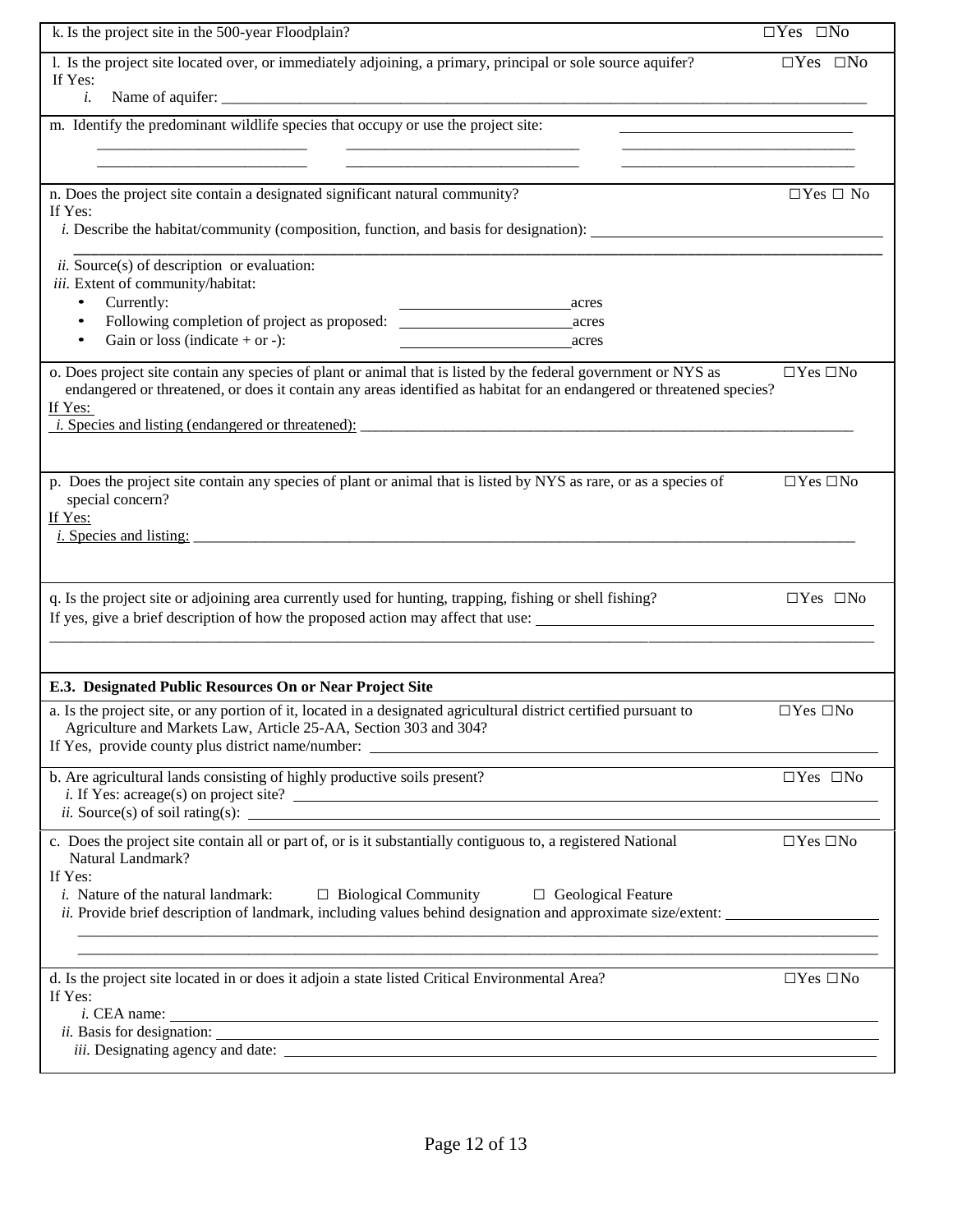| k. Is the project site in the 500-year Floodplain?                                                                                                                                                                                                                                                                                                                                                | $\Box Yes \quad \Box No$ |
|---------------------------------------------------------------------------------------------------------------------------------------------------------------------------------------------------------------------------------------------------------------------------------------------------------------------------------------------------------------------------------------------------|--------------------------|
| 1. Is the project site located over, or immediately adjoining, a primary, principal or sole source aquifer?<br>If Yes:<br>i.                                                                                                                                                                                                                                                                      | $\Box Yes \quad \Box No$ |
| m. Identify the predominant wildlife species that occupy or use the project site:                                                                                                                                                                                                                                                                                                                 |                          |
| n. Does the project site contain a designated significant natural community?<br>If Yes:<br><i>i.</i> Describe the habitat/community (composition, function, and basis for designation):                                                                                                                                                                                                           | $\Box$ Yes $\Box$ No     |
| $ii. Source(s)$ of description or evaluation:<br>iii. Extent of community/habitat:<br>Currently:<br>$\bullet$<br>acres<br>Following completion of project as proposed:<br>$\bullet$<br>acres<br>Gain or loss (indicate $+$ or $-$ ):<br>$\bullet$<br>acres                                                                                                                                        |                          |
| o. Does project site contain any species of plant or animal that is listed by the federal government or NYS as<br>endangered or threatened, or does it contain any areas identified as habitat for an endangered or threatened species?<br>If Yes:                                                                                                                                                | $\Box$ Yes $\Box$ No     |
| p. Does the project site contain any species of plant or animal that is listed by NYS as rare, or as a species of<br>special concern?<br>If Yes:<br>$i.$ Species and listing:                                                                                                                                                                                                                     | $\Box$ Yes $\Box$ No     |
| q. Is the project site or adjoining area currently used for hunting, trapping, fishing or shell fishing?<br>If yes, give a brief description of how the proposed action may affect that use:                                                                                                                                                                                                      | $\Box$ Yes $\Box$ No     |
| E.3. Designated Public Resources On or Near Project Site                                                                                                                                                                                                                                                                                                                                          |                          |
| a. Is the project site, or any portion of it, located in a designated agricultural district certified pursuant to<br>Agriculture and Markets Law, Article 25-AA, Section 303 and 304?<br>If Yes, provide county plus district name/number: ______________________________<br><u> 1989 - Johann Stein, marwolaethau a bhann an t-Amhair an t-Amhair an t-Amhair an t-Amhair an t-Amhair an t-A</u> | $\Box$ Yes $\Box$ No     |
| b. Are agricultural lands consisting of highly productive soils present?<br>$i$ . If Yes: acreage(s) on project site?<br>$ii. Source(s)$ of soil rating(s):                                                                                                                                                                                                                                       | $\Box$ Yes $\Box$ No     |
| c. Does the project site contain all or part of, or is it substantially contiguous to, a registered National<br>Natural Landmark?<br>If Yes:<br><i>i.</i> Nature of the natural landmark: $\Box$ Biological Community<br>$\Box$ Geological Feature<br><i>ii.</i> Provide brief description of landmark, including values behind designation and approximate size/extent:                          | $\Box$ Yes $\Box$ No     |
| d. Is the project site located in or does it adjoin a state listed Critical Environmental Area?<br>If Yes:<br>$i.$ CEA name: $\overline{\phantom{a}}$                                                                                                                                                                                                                                             | $\Box$ Yes $\Box$ No     |